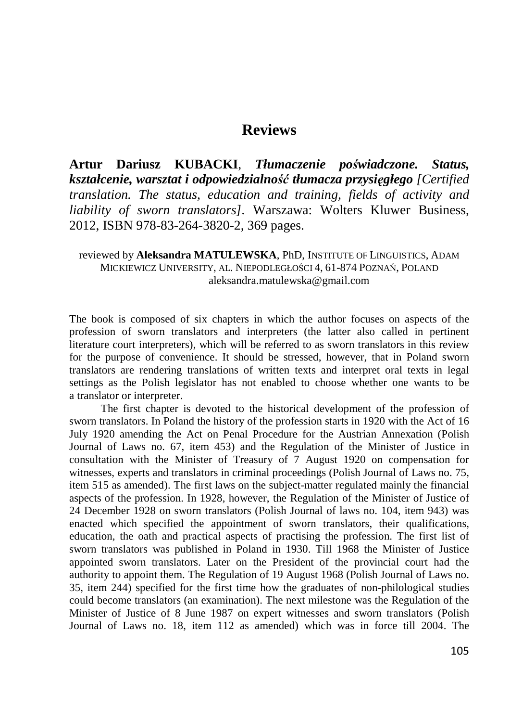## **Reviews**

**Artur Dariusz KUBACKI**, *Tłumaczenie poświadczone. Status, kształcenie, warsztat i odpowiedzialność tłumacza przysięgłego [Certified translation. The status, education and training, fields of activity and liability of sworn translators].* Warszawa: Wolters Kluwer Business, 2012, ISBN 978-83-264-3820-2, 369 pages.

reviewed by **Aleksandra MATULEWSKA**, PhD, INSTITUTE OF LINGUISTICS, ADAM MICKIEWICZ UNIVERSITY, AL. NIEPODLEGŁOŚCI 4, 61-874 POZNAŃ, POLAND aleksandra.matulewska@gmail.com

The book is composed of six chapters in which the author focuses on aspects of the profession of sworn translators and interpreters (the latter also called in pertinent literature court interpreters), which will be referred to as sworn translators in this review for the purpose of convenience. It should be stressed, however, that in Poland sworn translators are rendering translations of written texts and interpret oral texts in legal settings as the Polish legislator has not enabled to choose whether one wants to be a translator or interpreter.

 The first chapter is devoted to the historical development of the profession of sworn translators. In Poland the history of the profession starts in 1920 with the Act of 16 July 1920 amending the Act on Penal Procedure for the Austrian Annexation (Polish Journal of Laws no. 67, item 453) and the Regulation of the Minister of Justice in consultation with the Minister of Treasury of 7 August 1920 on compensation for witnesses, experts and translators in criminal proceedings (Polish Journal of Laws no. 75, item 515 as amended). The first laws on the subject-matter regulated mainly the financial aspects of the profession. In 1928, however, the Regulation of the Minister of Justice of 24 December 1928 on sworn translators (Polish Journal of laws no. 104, item 943) was enacted which specified the appointment of sworn translators, their qualifications, education, the oath and practical aspects of practising the profession. The first list of sworn translators was published in Poland in 1930. Till 1968 the Minister of Justice appointed sworn translators. Later on the President of the provincial court had the authority to appoint them. The Regulation of 19 August 1968 (Polish Journal of Laws no. 35, item 244) specified for the first time how the graduates of non-philological studies could become translators (an examination). The next milestone was the Regulation of the Minister of Justice of 8 June 1987 on expert witnesses and sworn translators (Polish Journal of Laws no. 18, item 112 as amended) which was in force till 2004. The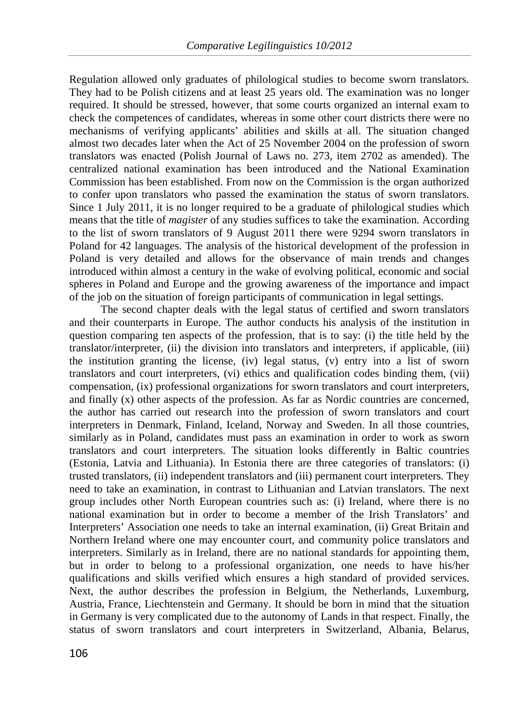Regulation allowed only graduates of philological studies to become sworn translators. They had to be Polish citizens and at least 25 years old. The examination was no longer required. It should be stressed, however, that some courts organized an internal exam to check the competences of candidates, whereas in some other court districts there were no mechanisms of verifying applicants' abilities and skills at all. The situation changed almost two decades later when the Act of 25 November 2004 on the profession of sworn translators was enacted (Polish Journal of Laws no. 273, item 2702 as amended). The centralized national examination has been introduced and the National Examination Commission has been established. From now on the Commission is the organ authorized to confer upon translators who passed the examination the status of sworn translators. Since 1 July 2011, it is no longer required to be a graduate of philological studies which means that the title of *magister* of any studies suffices to take the examination. According to the list of sworn translators of 9 August 2011 there were 9294 sworn translators in Poland for 42 languages. The analysis of the historical development of the profession in Poland is very detailed and allows for the observance of main trends and changes introduced within almost a century in the wake of evolving political, economic and social spheres in Poland and Europe and the growing awareness of the importance and impact of the job on the situation of foreign participants of communication in legal settings.

 The second chapter deals with the legal status of certified and sworn translators and their counterparts in Europe. The author conducts his analysis of the institution in question comparing ten aspects of the profession, that is to say: (i) the title held by the translator/interpreter, (ii) the division into translators and interpreters, if applicable, (iii) the institution granting the license, (iv) legal status, (v) entry into a list of sworn translators and court interpreters, (vi) ethics and qualification codes binding them, (vii) compensation, (ix) professional organizations for sworn translators and court interpreters, and finally (x) other aspects of the profession. As far as Nordic countries are concerned, the author has carried out research into the profession of sworn translators and court interpreters in Denmark, Finland, Iceland, Norway and Sweden. In all those countries, similarly as in Poland, candidates must pass an examination in order to work as sworn translators and court interpreters. The situation looks differently in Baltic countries (Estonia, Latvia and Lithuania). In Estonia there are three categories of translators: (i) trusted translators, (ii) independent translators and (iii) permanent court interpreters. They need to take an examination, in contrast to Lithuanian and Latvian translators. The next group includes other North European countries such as: (i) Ireland, where there is no national examination but in order to become a member of the Irish Translators' and Interpreters' Association one needs to take an internal examination, (ii) Great Britain and Northern Ireland where one may encounter court, and community police translators and interpreters. Similarly as in Ireland, there are no national standards for appointing them, but in order to belong to a professional organization, one needs to have his/her qualifications and skills verified which ensures a high standard of provided services. Next, the author describes the profession in Belgium, the Netherlands, Luxemburg, Austria, France, Liechtenstein and Germany. It should be born in mind that the situation in Germany is very complicated due to the autonomy of Lands in that respect. Finally, the status of sworn translators and court interpreters in Switzerland, Albania, Belarus,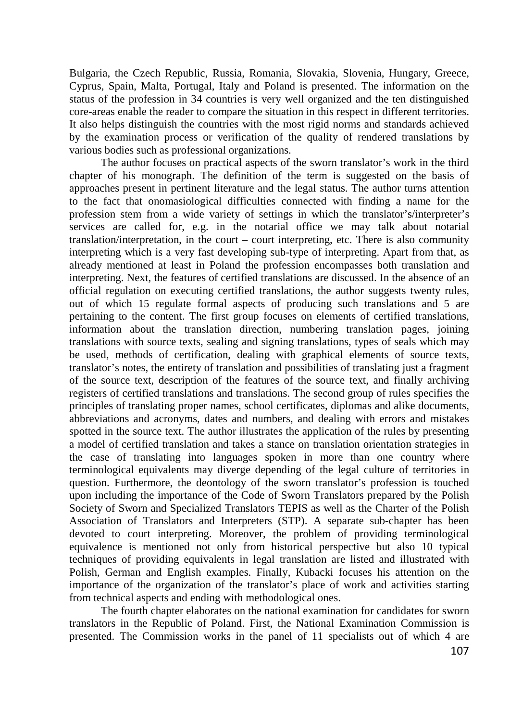Bulgaria, the Czech Republic, Russia, Romania, Slovakia, Slovenia, Hungary, Greece, Cyprus, Spain, Malta, Portugal, Italy and Poland is presented. The information on the status of the profession in 34 countries is very well organized and the ten distinguished core-areas enable the reader to compare the situation in this respect in different territories. It also helps distinguish the countries with the most rigid norms and standards achieved by the examination process or verification of the quality of rendered translations by various bodies such as professional organizations.

 The author focuses on practical aspects of the sworn translator's work in the third chapter of his monograph. The definition of the term is suggested on the basis of approaches present in pertinent literature and the legal status. The author turns attention to the fact that onomasiological difficulties connected with finding a name for the profession stem from a wide variety of settings in which the translator's/interpreter's services are called for, e.g. in the notarial office we may talk about notarial translation/interpretation, in the court – court interpreting, etc. There is also community interpreting which is a very fast developing sub-type of interpreting. Apart from that, as already mentioned at least in Poland the profession encompasses both translation and interpreting. Next, the features of certified translations are discussed. In the absence of an official regulation on executing certified translations, the author suggests twenty rules, out of which 15 regulate formal aspects of producing such translations and 5 are pertaining to the content. The first group focuses on elements of certified translations, information about the translation direction, numbering translation pages, joining translations with source texts, sealing and signing translations, types of seals which may be used, methods of certification, dealing with graphical elements of source texts, translator's notes, the entirety of translation and possibilities of translating just a fragment of the source text, description of the features of the source text, and finally archiving registers of certified translations and translations. The second group of rules specifies the principles of translating proper names, school certificates, diplomas and alike documents, abbreviations and acronyms, dates and numbers, and dealing with errors and mistakes spotted in the source text. The author illustrates the application of the rules by presenting a model of certified translation and takes a stance on translation orientation strategies in the case of translating into languages spoken in more than one country where terminological equivalents may diverge depending of the legal culture of territories in question. Furthermore, the deontology of the sworn translator's profession is touched upon including the importance of the Code of Sworn Translators prepared by the Polish Society of Sworn and Specialized Translators TEPIS as well as the Charter of the Polish Association of Translators and Interpreters (STP). A separate sub-chapter has been devoted to court interpreting. Moreover, the problem of providing terminological equivalence is mentioned not only from historical perspective but also 10 typical techniques of providing equivalents in legal translation are listed and illustrated with Polish, German and English examples. Finally, Kubacki focuses his attention on the importance of the organization of the translator's place of work and activities starting from technical aspects and ending with methodological ones.

 The fourth chapter elaborates on the national examination for candidates for sworn translators in the Republic of Poland. First, the National Examination Commission is presented. The Commission works in the panel of 11 specialists out of which 4 are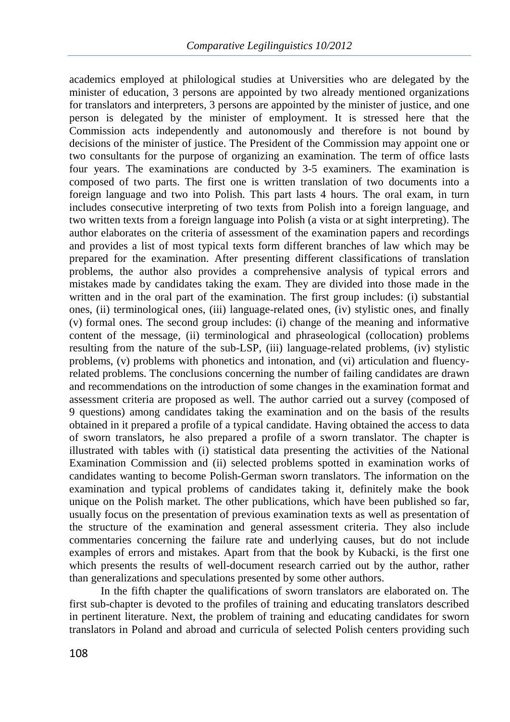academics employed at philological studies at Universities who are delegated by the minister of education, 3 persons are appointed by two already mentioned organizations for translators and interpreters, 3 persons are appointed by the minister of justice, and one person is delegated by the minister of employment. It is stressed here that the Commission acts independently and autonomously and therefore is not bound by decisions of the minister of justice. The President of the Commission may appoint one or two consultants for the purpose of organizing an examination. The term of office lasts four years. The examinations are conducted by 3-5 examiners. The examination is composed of two parts. The first one is written translation of two documents into a foreign language and two into Polish. This part lasts 4 hours. The oral exam, in turn includes consecutive interpreting of two texts from Polish into a foreign language, and two written texts from a foreign language into Polish (a vista or at sight interpreting). The author elaborates on the criteria of assessment of the examination papers and recordings and provides a list of most typical texts form different branches of law which may be prepared for the examination. After presenting different classifications of translation problems, the author also provides a comprehensive analysis of typical errors and mistakes made by candidates taking the exam. They are divided into those made in the written and in the oral part of the examination. The first group includes: (i) substantial ones, (ii) terminological ones, (iii) language-related ones, (iv) stylistic ones, and finally (v) formal ones. The second group includes: (i) change of the meaning and informative content of the message, (ii) terminological and phraseological (collocation) problems resulting from the nature of the sub-LSP, (iii) language-related problems, (iv) stylistic problems, (v) problems with phonetics and intonation, and (vi) articulation and fluencyrelated problems. The conclusions concerning the number of failing candidates are drawn and recommendations on the introduction of some changes in the examination format and assessment criteria are proposed as well. The author carried out a survey (composed of 9 questions) among candidates taking the examination and on the basis of the results obtained in it prepared a profile of a typical candidate. Having obtained the access to data of sworn translators, he also prepared a profile of a sworn translator. The chapter is illustrated with tables with (i) statistical data presenting the activities of the National Examination Commission and (ii) selected problems spotted in examination works of candidates wanting to become Polish-German sworn translators. The information on the examination and typical problems of candidates taking it, definitely make the book unique on the Polish market. The other publications, which have been published so far, usually focus on the presentation of previous examination texts as well as presentation of the structure of the examination and general assessment criteria. They also include commentaries concerning the failure rate and underlying causes, but do not include examples of errors and mistakes. Apart from that the book by Kubacki, is the first one which presents the results of well-document research carried out by the author, rather than generalizations and speculations presented by some other authors.

 In the fifth chapter the qualifications of sworn translators are elaborated on. The first sub-chapter is devoted to the profiles of training and educating translators described in pertinent literature. Next, the problem of training and educating candidates for sworn translators in Poland and abroad and curricula of selected Polish centers providing such